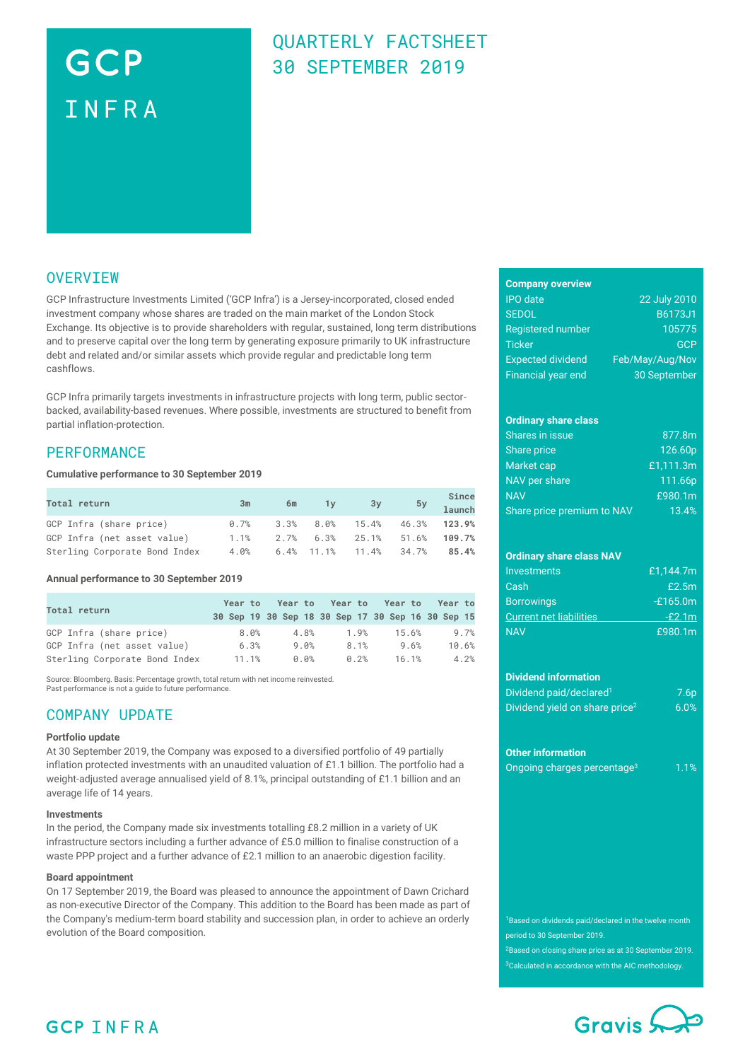# GCP INFRA

### QUARTERLY FACTSHEET 30 SEPTEMBER 2019

### **OVERVIEW**

GCP Infrastructure Investments Limited ('GCP Infra') is a Jersey-incorporated, closed ended investment company whose shares are traded on the main market of the London Stock Exchange. Its objective is to provide shareholders with regular, sustained, long term distributions and to preserve capital over the long term by generating exposure primarily to UK infrastructure debt and related and/or similar assets which provide regular and predictable long term cashflows.

GCP Infra primarily targets investments in infrastructure projects with long term, public sectorbacked, availability-based revenues. Where possible, investments are structured to benefit from partial inflation-protection.

### **PERFORMANCE**

#### **Cumulative performance to 30 September 2019**

| Total return                  | 3m   | 6m | $1y$ $3y$                                      | Since<br>5y 1aunch |
|-------------------------------|------|----|------------------------------------------------|--------------------|
| GCP Infra (share price)       |      |    | $0.7\%$ 3.3% $8.0\%$ 15.4% 46.3% <b>123.9%</b> |                    |
| GCP Infra (net asset value)   | 1.1% |    | 2.7% 6.3% 25.1% 51.6%                          | 109.7%             |
| Sterling Corporate Bond Index |      |    | 4.0% 6.4% 11.1% 11.4% 34.7%                    | $85.4\%$           |

#### **Annual performance to 30 September 2019**

| Total return                  | Year to |         | Yearto Yearto Yearto<br>30 Sep 19 30 Sep 18 30 Sep 17 30 Sep 16 30 Sep 15 |       | Year to |
|-------------------------------|---------|---------|---------------------------------------------------------------------------|-------|---------|
| GCP Infra (share price)       | 8.0%    | 4.8%    | 1.9%                                                                      | 15.6% | 9.7%    |
| GCP Infra (net asset value)   | 6.3%    | 9.0%    | 8.1%                                                                      | 9.6%  | 10.6%   |
| Sterling Corporate Bond Index | 11.1%   | $0.0\%$ | 0.2%                                                                      | 16.1% | 4.2%    |

Source: Bloomberg. Basis: Percentage growth, total return with net income reinvested. Past performance is not a guide to future performance.

### COMPANY UPDATE

### **Portfolio update**

At 30 September 2019, the Company was exposed to a diversified portfolio of 49 partially inflation protected investments with an unaudited valuation of £1.1 billion. The portfolio had a weight-adjusted average annualised yield of 8.1%, principal outstanding of £1.1 billion and an average life of 14 years.

#### **Investments**

In the period, the Company made six investments totalling £8.2 million in a variety of UK infrastructure sectors including a further advance of £5.0 million to finalise construction of a waste PPP project and a further advance of £2.1 million to an anaerobic digestion facility.

### **Board appointment**

On 17 September 2019, the Board was pleased to announce the appointment of Dawn Crichard as non-executive Director of the Company. This addition to the Board has been made as part of the Company's medium-term board stability and succession plan, in order to achieve an orderly evolution of the Board composition.

### **Company overview**

| <b>IPO</b> date           | 22 July 2010    |
|---------------------------|-----------------|
| <b>SEDOL</b>              | <b>B6173J1</b>  |
| <b>Registered number</b>  | 105775          |
| <b>Ticker</b>             | GCP             |
| <b>Expected dividend</b>  | Feb/May/Aug/Nov |
| <b>Financial year end</b> | 30 September    |

### **Ordinary share class**

| Shares in issue            | 877.8m    |
|----------------------------|-----------|
| Share price                | 126.60p   |
| Market cap                 | £1,111.3m |
| NAV per share              | 111.66p   |
| <b>NAV</b>                 | £980.1m   |
| Share price premium to NAV | 13.4%     |

### **Ordinary share class NAV**

| Investments                    | £1.144.7m  |
|--------------------------------|------------|
| Cash                           | £2.5m      |
| <b>Borrowings</b>              | $-£165.0m$ |
| <b>Current net liabilities</b> | $-£2.1m$   |
| <b>NAV</b>                     | £980.1 $m$ |

#### **Dividend information**

| Dividend paid/declared <sup>1</sup>        | 7.6p |
|--------------------------------------------|------|
| Dividend yield on share price <sup>2</sup> | 6.0% |

#### **Other information**

| Ongoing charges percentage <sup>3</sup> | 1.1% |
|-----------------------------------------|------|
|                                         |      |

<sup>1</sup>Based on dividends paid/declared in the twelve month period to 30 September 2019.

<sup>2</sup>Based on closing share price as at 30 September 2019. <sup>3</sup>Calculated in accordance with the AIC methodology.



### **GCP INFRA**